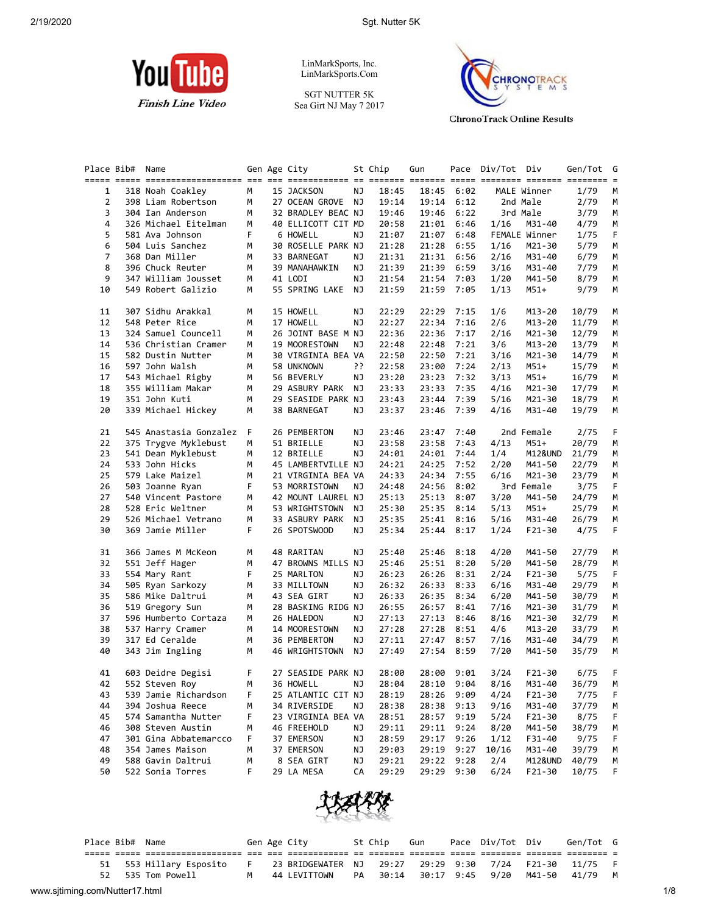

LinMarkSports, Inc. LinMarkSports.Com

SGT NUTTER 5K Sea Girt NJ May 7 2017



**ChronoTrack Online Results** 

| Place Bib#     | Name                   |    | Gen Age City       |    | St Chip | Gun   |            | Pace Div/Tot Div |               | Gen/Tot | G  |
|----------------|------------------------|----|--------------------|----|---------|-------|------------|------------------|---------------|---------|----|
|                |                        |    |                    |    |         |       |            |                  |               |         |    |
| 1              | 318 Noah Coakley       | M  | 15 JACKSON         | ΝJ | 18:45   |       | 18:45 6:02 |                  | MALE Winner   | 1/79    | M  |
| 2              | 398 Liam Robertson     | М  | 27 OCEAN GROVE     | ΝJ | 19:14   | 19:14 | 6:12       |                  | 2nd Male      | 2/79    | M  |
| 3              | 304 Ian Anderson       | М  | 32 BRADLEY BEAC NJ |    | 19:46   | 19:46 | 6:22       |                  | 3rd Male      | 3/79    | М  |
| 4              | 326 Michael Eitelman   | М  | 40 ELLICOTT CIT MD |    | 20:58   | 21:01 | 6:46       | 1/16             | M31-40        | 4/79    | М  |
| 5              | 581 Ava Johnson        | F  | 6 HOWELL           | ΝJ | 21:07   | 21:07 | 6:48       |                  | FEMALE Winner | 1/75    | F. |
| 6              | 504 Luis Sanchez       | М  | 30 ROSELLE PARK NJ |    | 21:28   | 21:28 | 6:55       | 1/16             | M21-30        | 5/79    | М  |
| $\overline{7}$ | 368 Dan Miller         | м  | 33 BARNEGAT        | ΝJ | 21:31   | 21:31 | 6:56       | 2/16             | M31-40        | 6/79    | M  |
| 8              | 396 Chuck Reuter       | м  | 39 MANAHAWKIN      | ΝJ | 21:39   | 21:39 | 6:59       | 3/16             | M31-40        | 7/79    | М  |
| 9              | 347 William Jousset    | М  | 41 LODI            | ΝJ | 21:54   | 21:54 | 7:03       | 1/20             | M41-50        | 8/79    | М  |
| 10             | 549 Robert Galizio     | М  | 55 SPRING LAKE NJ  |    | 21:59   | 21:59 | 7:05       | 1/13             | $M51+$        | 9/79    | М  |
| 11             | 307 Sidhu Arakkal      | М  | 15 HOWELL          | ΝJ | 22:29   | 22:29 | 7:15       | 1/6              | M13-20        | 10/79   | М  |
| 12             | 548 Peter Rice         | м  | 17 HOWELL          | ΝJ | 22:27   | 22:34 | 7:16       | 2/6              | M13-20        | 11/79   | M  |
| 13             | 324 Samuel Councell    | м  | 26 JOINT BASE M NJ |    | 22:36   | 22:36 | 7:17       | 2/16             | M21-30        | 12/79   | M  |
| 14             | 536 Christian Cramer   | М  | 19 MOORESTOWN      | ΝJ | 22:48   | 22:48 | 7:21       | 3/6              | M13-20        | 13/79   | М  |
| 15             | 582 Dustin Nutter      | M  | 30 VIRGINIA BEA VA |    | 22:50   | 22:50 | 7:21       | 3/16             | M21-30        | 14/79   | М  |
| 16             | 597 John Walsh         | м  | 58 UNKNOWN         | יִ | 22:58   | 23:00 | 7:24       | 2/13             | $M51+$        | 15/79   | М  |
| 17             | 543 Michael Rigby      | М  | 56 BEVERLY         | ΝJ | 23:20   | 23:23 | 7:32       | 3/13             | $M51+$        | 16/79   | M  |
| 18             | 355 William Makar      | М  | 29 ASBURY PARK     | ΝJ | 23:33   | 23:33 | 7:35       | 4/16             | M21-30        | 17/79   | М  |
| 19             | 351 John Kuti          | М  | 29 SEASIDE PARK NJ |    | 23:43   | 23:44 | 7:39       | 5/16             | M21-30        | 18/79   | М  |
| 20             | 339 Michael Hickey     | М  | 38 BARNEGAT        | NJ | 23:37   | 23:46 | 7:39       | 4/16             | M31-40        | 19/79   | М  |
| 21             | 545 Anastasia Gonzalez | F. | 26 PEMBERTON       | ΝJ | 23:46   | 23:47 | 7:40       |                  | 2nd Female    | 2/75    | F. |
| 22             | 375 Trygve Myklebust   | М  | 51 BRIELLE         | ΝJ | 23:58   | 23:58 | 7:43       | 4/13             | $M51+$        | 20/79   | M  |
| 23             | 541 Dean Myklebust     | М  | 12 BRIELLE         | ΝJ | 24:01   | 24:01 | 7:44       | 1/4              | M12&UND       | 21/79   | M  |
| 24             | 533 John Hicks         | М  | 45 LAMBERTVILLE NJ |    | 24:21   | 24:25 | 7:52       | 2/20             | M41-50        | 22/79   | M  |
| 25             | 579 Lake Maizel        | М  | 21 VIRGINIA BEA VA |    | 24:33   | 24:34 | 7:55       | 6/16             | M21-30        | 23/79   | М  |
| 26             | 503 Joanne Ryan        | F  | 53 MORRISTOWN      | ΝJ | 24:48   | 24:56 | 8:02       |                  | 3rd Female    | 3/75    | F. |
| 27             | 540 Vincent Pastore    | М  | 42 MOUNT LAUREL NJ |    | 25:13   | 25:13 | 8:07       | 3/20             | M41-50        | 24/79   | М  |
| 28             | 528 Eric Weltner       | М  | 53 WRIGHTSTOWN     | ΝJ | 25:30   | 25:35 | 8:14       | 5/13             | $M51+$        | 25/79   | M  |
| 29             | 526 Michael Vetrano    | М  | 33 ASBURY PARK     | NJ | 25:35   | 25:41 | 8:16       | 5/16             | M31-40        | 26/79   | M  |
| 30             | 369 Jamie Miller       | F. | 26 SPOTSWOOD       | ΝJ | 25:34   | 25:44 | 8:17       | 1/24             | F21-30        | 4/75    | F. |
| 31             | 366 James M McKeon     | М  | 48 RARITAN         | ΝJ | 25:40   | 25:46 | 8:18       | 4/20             | M41-50        | 27/79   | M  |
| 32             | 551 Jeff Hager         | м  | 47 BROWNS MILLS NJ |    | 25:46   |       | 25:51 8:20 | 5/20             | M41-50        | 28/79   | M  |
| 33             | 554 Mary Rant          | F. | 25 MARLTON         | ΝJ | 26:23   | 26:26 | 8:31       | 2/24             | F21-30        | 5/75    | F. |
| 34             | 505 Ryan Sarkozy       | М  | 33 MILLTOWN        | ΝJ | 26:32   | 26:33 | 8:33       | 6/16             | M31-40        | 29/79   | M  |
| 35             | 586 Mike Daltrui       | м  | 43 SEA GIRT        | ΝJ | 26:33   | 26:35 | 8:34       | 6/20             | M41-50        | 30/79   | M  |
| 36             | 519 Gregory Sun        | М  | 28 BASKING RIDG NJ |    | 26:55   | 26:57 | 8:41       | 7/16             | M21-30        | 31/79   | М  |
| 37             | 596 Humberto Cortaza   | М  | 26 HALEDON         | ΝJ | 27:13   | 27:13 | 8:46       | 8/16             | M21-30        | 32/79   | М  |
| 38             | 537 Harry Cramer       | М  | 14 MOORESTOWN      | ΝJ | 27:28   | 27:28 | 8:51       | 4/6              | M13-20        | 33/79   | М  |
| 39             | 317 Ed Ceralde         | М  | 36 PEMBERTON       | ΝJ | 27:11   | 27:47 | 8:57       | 7/16             | M31-40        | 34/79   | M  |
| 40             | 343 Jim Ingling        | М  | 46 WRIGHTSTOWN     | ΝJ | 27:49   | 27:54 | 8:59       | 7/20             | M41-50        | 35/79   | М  |
| 41             | 603 Deidre Degisi      | F  | 27 SEASIDE PARK NJ |    | 28:00   |       | 28:00 9:01 | 3/24             | $F21-30$      | 6/75    | F  |
| 42             | 552 Steven Roy         | M  | 36 HOWELL          | NJ | 28:04   |       | 28:10 9:04 | 8/16             | M31-40 36/79  |         | M  |
| 43             | 539 Jamie Richardson   | F  | 25 ATLANTIC CIT NJ |    | 28:19   |       | 28:26 9:09 | 4/24             | F21-30        | 7/75    | F. |
| 44             | 394 Joshua Reece       | м  | 34 RIVERSIDE       | ΝJ | 28:38   | 28:38 | 9:13       | 9/16             | M31-40        | 37/79   | M  |
| 45             | 574 Samantha Nutter    | F  | 23 VIRGINIA BEA VA |    | 28:51   | 28:57 | 9:19       | 5/24             | $F21-30$      | 8/75    | F  |
| 46             | 308 Steven Austin      | М  | 46 FREEHOLD        | ΝJ | 29:11   | 29:11 | 9:24       | 8/20             | M41-50        | 38/79   | M  |
| 47             | 301 Gina Abbatemarcco  | F  | 37 EMERSON         | ΝJ | 28:59   | 29:17 | 9:26       | 1/12             | F31-40        | 9/75    | F  |
| 48             | 354 James Maison       | м  | 37 EMERSON         | ΝJ | 29:03   | 29:19 | 9:27       | 10/16            | M31-40        | 39/79   | M  |
| 49             | 588 Gavin Daltrui      | м  | 8 SEA GIRT         | ΝJ | 29:21   |       | 29:22 9:28 | 2/4              | M12&UND       | 40/79   | M  |
| 50             | 522 Sonia Torres       | F  | 29 LA MESA         | СA | 29:29   | 29:29 | 9:30       | 6/24             | F21-30        | 10/75   | F  |
|                |                        |    |                    |    |         |       |            |                  |               |         |    |



| Place Bib# Name |                         |           | Gen Age City                                           | St Chip | Gun | Pace Div/Tot Div                      | Gen/Tot G |  |
|-----------------|-------------------------|-----------|--------------------------------------------------------|---------|-----|---------------------------------------|-----------|--|
|                 |                         |           |                                                        |         |     |                                       |           |  |
|                 | 51 553 Hillary Esposito | $-$ F $-$ | 23 BRIDGEWATER NJ 29:27 29:29 9:30 7/24 F21-30 11/75 F |         |     |                                       |           |  |
|                 | 52 535 Tom Powell       | M         | 44 LEVITTOWN                                           |         |     | PA 30:14 30:17 9:45 9/20 M41-50 41/79 |           |  |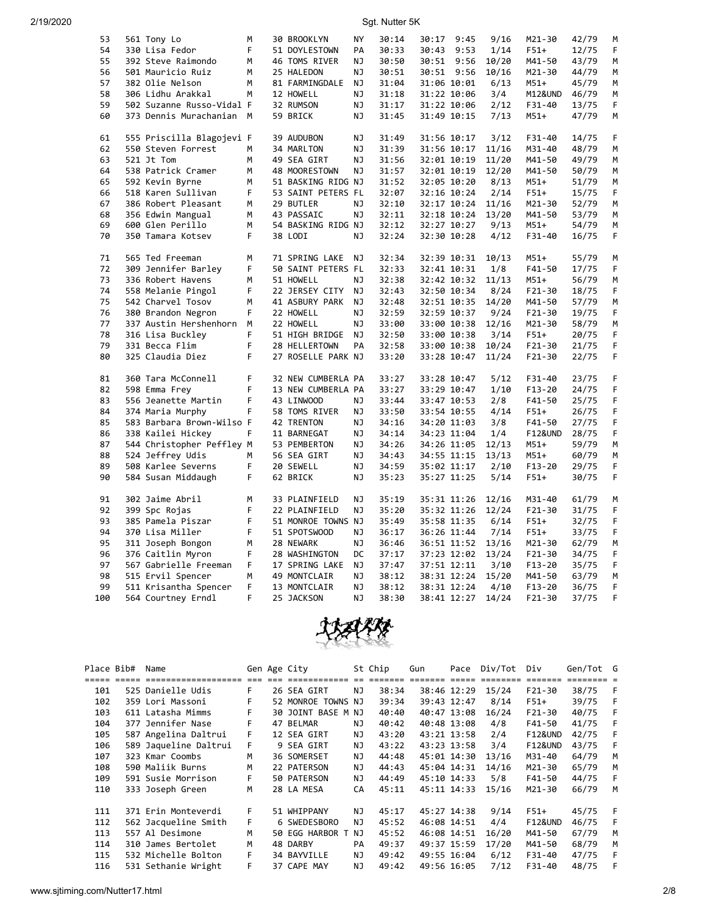| 53  | 561 Tony Lo               | М  | 30 BROOKLYN        | <b>NY</b> | 30:14 | 30:17 | 9:45        | 9/16  | M21-30             | 42/79 | М  |
|-----|---------------------------|----|--------------------|-----------|-------|-------|-------------|-------|--------------------|-------|----|
| 54  | 330 Lisa Fedor            | F  | 51 DOYLESTOWN      | PA        | 30:33 | 30:43 | 9:53        | 1/14  | $F51+$             | 12/75 | F  |
| 55  | 392 Steve Raimondo        | М  | 46 TOMS RIVER      | ΝJ        | 30:50 | 30:51 | 9:56        | 10/20 | M41-50             | 43/79 | М  |
| 56  | 501 Mauricio Ruiz         | M  | 25 HALEDON         | NJ        | 30:51 |       | 30:51 9:56  | 10/16 | M21-30             | 44/79 | M  |
| 57  | 382 Olie Nelson           | M  | 81 FARMINGDALE     | NJ        | 31:04 |       | 31:06 10:01 | 6/13  | M51+               | 45/79 | M  |
| 58  | 306 Lidhu Arakkal         | M  | 12 HOWELL          | ΝJ        | 31:18 |       | 31:22 10:06 | 3/4   | M12&UND            | 46/79 | M  |
| 59  | 502 Suzanne Russo-Vidal F |    | 32 RUMSON          | NJ        | 31:17 |       | 31:22 10:06 | 2/12  | F31-40             | 13/75 | F  |
| 60  | 373 Dennis Murachanian M  |    | 59 BRICK           | NJ        | 31:45 |       | 31:49 10:15 | 7/13  | $M51+$             | 47/79 | М  |
| 61  | 555 Priscilla Blagojevi F |    | 39 AUDUBON         | ΝJ        | 31:49 |       | 31:56 10:17 | 3/12  | F31-40             | 14/75 | F  |
| 62  | 550 Steven Forrest        | M  | 34 MARLTON         | NJ        | 31:39 |       | 31:56 10:17 | 11/16 | M31-40             | 48/79 | M  |
| 63  | 521 Jt Tom                | M  | 49 SEA GIRT        | NJ        | 31:56 |       | 32:01 10:19 | 11/20 | M41-50             | 49/79 | M  |
| 64  | 538 Patrick Cramer        | M  | 48 MOORESTOWN      | NJ        | 31:57 |       | 32:01 10:19 | 12/20 | M41-50             | 50/79 | M  |
| 65  | 592 Kevin Byrne           | M  | 51 BASKING RIDG NJ |           | 31:52 |       | 32:05 10:20 | 8/13  | $M51+$             | 51/79 | M  |
| 66  | 518 Karen Sullivan        | F  | 53 SAINT PETERS FL |           | 32:07 |       | 32:16 10:24 | 2/14  | $F51+$             | 15/75 | F  |
| 67  | 386 Robert Pleasant       | М  | 29 BUTLER          | NJ        | 32:10 |       | 32:17 10:24 | 11/16 | M21-30             | 52/79 | М  |
| 68  | 356 Edwin Mangual         | М  | 43 PASSAIC         | NJ        | 32:11 |       | 32:18 10:24 | 13/20 | M41-50             | 53/79 | М  |
| 69  | 600 Glen Perillo          | M  | 54 BASKING RIDG NJ |           | 32:12 |       | 32:27 10:27 | 9/13  | $M51+$             | 54/79 | M  |
| 70  | 350 Tamara Kotsev         | F. | 38 LODI            | NJ        | 32:24 |       | 32:30 10:28 | 4/12  | F31-40             | 16/75 | F. |
| 71  | 565 Ted Freeman           | М  | 71 SPRING LAKE     | ΝJ        | 32:34 |       | 32:39 10:31 | 10/13 | $M51+$             | 55/79 | М  |
| 72  | 309 Jennifer Barley       | F  | 50 SAINT PETERS FL |           | 32:33 |       | 32:41 10:31 | 1/8   | F41-50             | 17/75 | F  |
| 73  | 336 Robert Havens         | M  | 51 HOWELL          | NJ        | 32:38 |       | 32:42 10:32 | 11/13 | $M51+$             | 56/79 | М  |
| 74  | 558 Melanie Pingol        | F. | 22 JERSEY CITY     | NJ        | 32:43 |       | 32:50 10:34 | 8/24  | $F21-30$           | 18/75 | F  |
| 75  | 542 Charvel Tosov         | M  | 41 ASBURY PARK     | NJ        | 32:48 |       | 32:51 10:35 | 14/20 | M41-50             | 57/79 | M  |
| 76  | 380 Brandon Negron        | F  | 22 HOWELL          | ΝJ        | 32:59 |       | 32:59 10:37 | 9/24  | $F21-30$           | 19/75 | F  |
| 77  | 337 Austin Hershenhorn    | М  | 22 HOWELL          | NJ        | 33:00 |       | 33:00 10:38 | 12/16 | M21-30             | 58/79 | M  |
| 78  | 316 Lisa Buckley          | F  | 51 HIGH BRIDGE     | NJ        | 32:50 |       | 33:00 10:38 | 3/14  | $F51+$             | 20/75 | F  |
| 79  | 331 Becca Flim            | F  | 28 HELLERTOWN      | PA        | 32:58 |       | 33:00 10:38 | 10/24 | F21-30             | 21/75 | F  |
| 80  | 325 Claudia Diez          | F  | 27 ROSELLE PARK NJ |           | 33:20 |       | 33:28 10:47 | 11/24 | F21-30             | 22/75 | F  |
| 81  | 360 Tara McConnell        | F  | 32 NEW CUMBERLA PA |           | 33:27 |       | 33:28 10:47 | 5/12  | F31-40             | 23/75 | F  |
| 82  | 598 Emma Frey             | F. | 13 NEW CUMBERLA PA |           | 33:27 |       | 33:29 10:47 | 1/10  | F13-20             | 24/75 | F  |
| 83  | 556 Jeanette Martin       | F  | 43 LINWOOD         | ΝJ        | 33:44 |       | 33:47 10:53 | 2/8   | F41-50             | 25/75 | F  |
| 84  | 374 Maria Murphy          | F  | 58 TOMS RIVER      | NJ        | 33:50 |       | 33:54 10:55 | 4/14  | $F51+$             | 26/75 | F  |
| 85  | 583 Barbara Brown-Wilso F |    | 42 TRENTON         | ΝJ        | 34:16 |       | 34:20 11:03 | 3/8   | F41-50             | 27/75 | F  |
| 86  | 338 Kailei Hickey         | F  | 11 BARNEGAT        | NJ        | 34:14 |       | 34:23 11:04 | 1/4   | <b>F12&amp;UND</b> | 28/75 | F  |
| 87  | 544 Christopher Peffley M |    | 53 PEMBERTON       | NJ        | 34:26 |       | 34:26 11:05 | 12/13 | M51+               | 59/79 | M  |
| 88  | 524 Jeffrey Udis          | м  | 56 SEA GIRT        | ΝJ        | 34:43 |       | 34:55 11:15 | 13/13 | $M51+$             | 60/79 | M  |
| 89  | 508 Karlee Severns        | F  | 20 SEWELL          | ΝJ        | 34:59 |       | 35:02 11:17 | 2/10  | F13-20             | 29/75 | F  |
| 90  | 584 Susan Middaugh        | F  | 62 BRICK           | ΝJ        | 35:23 |       | 35:27 11:25 | 5/14  | $F51+$             | 30/75 | F  |
| 91  | 302 Jaime Abril           | М  | 33 PLAINFIELD      | NJ        | 35:19 |       | 35:31 11:26 | 12/16 | M31-40             | 61/79 | М  |
| 92  | 399 Spc Rojas             | F  | 22 PLAINFIELD      | NJ        | 35:20 |       | 35:32 11:26 | 12/24 | F21-30             | 31/75 | F  |
| 93  | 385 Pamela Piszar         | F  | 51 MONROE TOWNS NJ |           | 35:49 |       | 35:58 11:35 | 6/14  | $F51+$             | 32/75 | F  |
| 94  | 370 Lisa Miller           | F. | 51 SPOTSWOOD       | ΝJ        | 36:17 |       | 36:26 11:44 | 7/14  | $F51+$             | 33/75 | F  |
| 95  | 311 Joseph Bongon         | М  | 28 NEWARK          | NJ        | 36:46 |       | 36:51 11:52 | 13/16 | M21-30             | 62/79 | M  |
| 96  | 376 Caitlin Myron         | F  | 28 WASHINGTON      | DC        | 37:17 |       | 37:23 12:02 | 13/24 | F21-30             | 34/75 | F  |
| 97  | 567 Gabrielle Freeman     | F  | 17 SPRING LAKE     | ΝJ        | 37:47 |       | 37:51 12:11 | 3/10  | $F13 - 20$         | 35/75 | F  |
| 98  | 515 Ervil Spencer         | М  | 49 MONTCLAIR       | ΝJ        | 38:12 |       | 38:31 12:24 | 15/20 | M41-50             | 63/79 | М  |
| 99  | 511 Krisantha Spencer     | F  | 13 MONTCLAIR       | NJ        | 38:12 |       | 38:31 12:24 | 4/10  | $F13 - 20$         | 36/75 | F  |
| 100 | 564 Courtney Erndl        | F  | 25 JACKSON         | NJ        | 38:30 |       | 38:41 12:27 | 14/24 | F21-30             | 37/75 | F  |



| Place Bib# | Name                  |    | Gen Age City       |     | St Chip | Gun | Pace        | Div/Tot | Div                | Gen/Tot G |   |
|------------|-----------------------|----|--------------------|-----|---------|-----|-------------|---------|--------------------|-----------|---|
|            |                       |    |                    |     |         |     |             |         |                    |           |   |
| 101        | 525 Danielle Udis     | F  | 26 SEA GIRT        | NJ  | 38:34   |     | 38:46 12:29 | 15/24   | $F21-30$           | 38/75     | F |
| 102        | 359 Lori Massoni      | F  | 52 MONROE TOWNS NJ |     | 39:34   |     | 39:43 12:47 | 8/14    | $F51+$             | 39/75     |   |
| 103        | 611 Latasha Mimms     | F  | 30 JOINT BASE M NJ |     | 40:40   |     | 40:47 13:08 | 16/24   | $F21 - 30$         | 40/75     | F |
| 104        | 377 Jennifer Nase     | F  | 47 BELMAR          | ΝJ  | 40:42   |     | 40:48 13:08 | 4/8     | F41-50             | 41/75     | F |
| 105        | 587 Angelina Daltrui  | F. | 12 SEA GIRT        | ΝJ  | 43:20   |     | 43:21 13:58 | 2/4     | <b>F12&amp;UND</b> | 42/75     | F |
| 106        | 589 Jaqueline Daltrui | F. | 9 SEA GIRT         | ΝJ  | 43:22   |     | 43:23 13:58 | 3/4     | <b>F12&amp;UND</b> | 43/75     | F |
| 107        | 323 Kmar Coombs       | М  | 36 SOMERSET        | ΝJ  | 44:48   |     | 45:01 14:30 | 13/16   | M31-40             | 64/79     | м |
| 108        | 590 Maliik Burns      | м  | 22 PATERSON        | ΝJ  | 44:43   |     | 45:04 14:31 | 14/16   | M21-30             | 65/79     | м |
| 109        | 591 Susie Morrison    | F  | 50 PATERSON        | ΝJ  | 44:49   |     | 45:10 14:33 | 5/8     | F41-50             | 44/75     | F |
| 110        | 333 Joseph Green      | М  | 28 LA MESA         | CA  | 45:11   |     | 45:11 14:33 | 15/16   | M21-30             | 66/79     | M |
|            |                       |    |                    |     |         |     |             |         |                    |           |   |
| 111        | 371 Erin Monteverdi   | F  | 51 WHIPPANY        | NJ. | 45:17   |     | 45:27 14:38 | 9/14    | $F51+$             | 45/75     |   |
| 112        | 562 Jacqueline Smith  | F. | 6 SWEDESBORO       | ΝJ  | 45:52   |     | 46:08 14:51 | 4/4     | <b>F12&amp;UND</b> | 46/75     |   |
| 113        | 557 Al Desimone       | м  | 50 EGG HARBOR T    | NJ  | 45:52   |     | 46:08 14:51 | 16/20   | M41-50             | 67/79     | м |
| 114        | 310 James Bertolet    | м  | 48 DARBY           | PA  | 49:37   |     | 49:37 15:59 | 17/20   | M41-50             | 68/79     | м |
| 115        | 532 Michelle Bolton   | F. | 34 BAYVILLE        | ΝJ  | 49:42   |     | 49:55 16:04 | 6/12    | F31-40             | 47/75     | F |
| 116        | 531 Sethanie Wright   | F  | 37 CAPE MAY        | ΝJ  | 49:42   |     | 49:56 16:05 | 7/12    | F31-40             | 48/75     | F |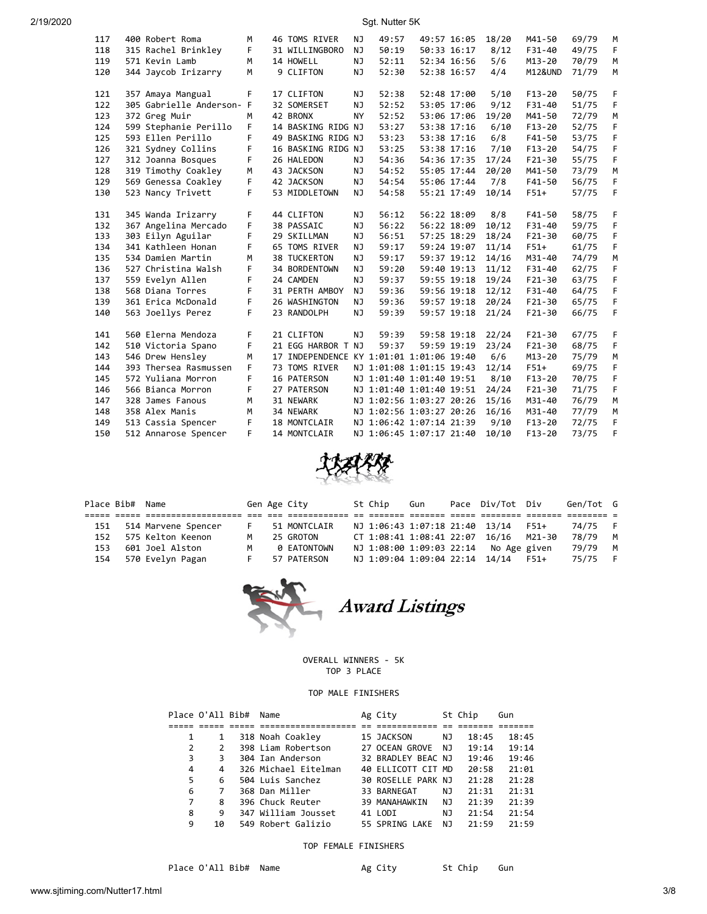| 2/19/2020 |  |  |  |
|-----------|--|--|--|
|           |  |  |  |
|           |  |  |  |

20<br>20 Sqt. Nutter 5K

| 117 | 400 Robert Roma           | м  | 46 TOMS RIVER                            | ΝJ        | 49:57                    | 49:57 16:05 | 18/20 | M41-50     | 69/79 | M  |
|-----|---------------------------|----|------------------------------------------|-----------|--------------------------|-------------|-------|------------|-------|----|
| 118 | 315 Rachel Brinkley       | F  | 31 WILLINGBORO                           | NJ        | 50:19                    | 50:33 16:17 | 8/12  | F31-40     | 49/75 | F. |
| 119 | 571 Kevin Lamb            | м  | 14 HOWELL                                | NJ        | 52:11                    | 52:34 16:56 | 5/6   | $M13 - 20$ | 70/79 | M  |
| 120 | 344 Jaycob Irizarry       | м  | 9 CLIFTON                                | NJ        | 52:30                    | 52:38 16:57 | 4/4   | M12&UND    | 71/79 | M  |
|     |                           |    |                                          |           |                          |             |       |            |       |    |
| 121 | 357 Amaya Mangual         | F  | 17 CLIFTON                               | NJ        | 52:38                    | 52:48 17:00 | 5/10  | $F13 - 20$ | 50/75 | F. |
| 122 | 305 Gabrielle Anderson- F |    | 32 SOMERSET                              | NJ        | 52:52                    | 53:05 17:06 | 9/12  | F31-40     | 51/75 | F  |
| 123 | 372 Greg Muir             | м  | 42 BRONX                                 | <b>NY</b> | 52:52                    | 53:06 17:06 | 19/20 | M41-50     | 72/79 | M  |
| 124 | 599 Stephanie Perillo     | F  | 14 BASKING RIDG NJ                       |           | 53:27                    | 53:38 17:16 | 6/10  | $F13 - 20$ | 52/75 | F  |
| 125 | 593 Ellen Perillo         | F. | 49 BASKING RIDG NJ                       |           | 53:23                    | 53:38 17:16 | 6/8   | F41-50     | 53/75 | F  |
| 126 | 321 Sydney Collins        | F  | 16 BASKING RIDG NJ                       |           | 53:25                    | 53:38 17:16 | 7/10  | $F13 - 20$ | 54/75 | F  |
| 127 | 312 Joanna Bosques        | F. | 26 HALEDON                               | NJ.       | 54:36                    | 54:36 17:35 | 17/24 | $F21-30$   | 55/75 | F  |
| 128 | 319 Timothy Coakley       | М  | 43 JACKSON                               | ΝJ        | 54:52                    | 55:05 17:44 | 20/20 | M41-50     | 73/79 | М  |
| 129 | 569 Genessa Coakley       | F. | 42 JACKSON                               | <b>NJ</b> | 54:54                    | 55:06 17:44 | 7/8   | F41-50     | 56/75 | F  |
| 130 | 523 Nancy Trivett         | F  | 53 MIDDLETOWN                            | NJ        | 54:58                    | 55:21 17:49 | 10/14 | $F51+$     | 57/75 | F  |
|     |                           |    |                                          |           |                          |             |       |            |       |    |
| 131 | 345 Wanda Irizarry        | F  | 44 CLIFTON                               | NJ        | 56:12                    | 56:22 18:09 | 8/8   | F41-50     | 58/75 | F. |
| 132 | 367 Angelina Mercado      | F  | 38 PASSAIC                               | NJ        | 56:22                    | 56:22 18:09 | 10/12 | F31-40     | 59/75 | F  |
| 133 | 303 Eilyn Aguilar         | F  | 29 SKILLMAN                              | <b>NJ</b> | 56:51                    | 57:25 18:29 | 18/24 | $F21-30$   | 60/75 | F  |
| 134 | 341 Kathleen Honan        | F. | 65 TOMS RIVER                            | NJ        | 59:17                    | 59:24 19:07 | 11/14 | $F51+$     | 61/75 | F  |
| 135 | 534 Damien Martin         | м  | <b>38 TUCKERTON</b>                      | NJ        | 59:17                    | 59:37 19:12 | 14/16 | M31-40     | 74/79 | M  |
| 136 | 527 Christina Walsh       | F. | 34 BORDENTOWN                            | NJ        | 59:20                    | 59:40 19:13 | 11/12 | F31-40     | 62/75 | F  |
| 137 | 559 Evelyn Allen          | F  | 24 CAMDEN                                | NJ        | 59:37                    | 59:55 19:18 | 19/24 | $F21-30$   | 63/75 | F  |
| 138 | 568 Diana Torres          | F  | 31 PERTH AMBOY                           | NJ        | 59:36                    | 59:56 19:18 | 12/12 | F31-40     | 64/75 | F  |
| 139 | 361 Erica McDonald        | F. | 26 WASHINGTON                            | NJ        | 59:36                    | 59:57 19:18 | 20/24 | $F21-30$   | 65/75 | F  |
| 140 | 563 Joellys Perez         | F  | 23 RANDOLPH                              | <b>NJ</b> | 59:39                    | 59:57 19:18 | 21/24 | $F21 - 30$ | 66/75 | F  |
|     |                           |    |                                          |           |                          |             |       |            |       |    |
| 141 | 560 Elerna Mendoza        | F  | 21 CLIFTON                               | ΝJ        | 59:39                    | 59:58 19:18 | 22/24 | $F21-30$   | 67/75 | F. |
| 142 | 510 Victoria Spano        | F. | 21 EGG HARBOR T NJ                       |           | 59:37                    | 59:59 19:19 | 23/24 | $F21 - 30$ | 68/75 | F  |
| 143 | 546 Drew Hensley          | м  | 17 INDEPENDENCE KY 1:01:01 1:01:06 19:40 |           |                          |             | 6/6   | $M13 - 20$ | 75/79 | M  |
| 144 | 393 Thersea Rasmussen     | F. | 73 TOMS RIVER                            |           | NJ 1:01:08 1:01:15 19:43 |             | 12/14 | $F51+$     | 69/75 | F. |
| 145 | 572 Yuliana Morron        | F. | 16 PATERSON                              |           | NJ 1:01:40 1:01:40 19:51 |             | 8/10  | $F13 - 20$ | 70/75 | F. |
| 146 | 566 Bianca Morron         | F. | 27 PATERSON                              |           | NJ 1:01:40 1:01:40 19:51 |             | 24/24 | $F21-30$   | 71/75 | F. |
| 147 | 328 James Fanous          | М  | 31 NEWARK                                |           | NJ 1:02:56 1:03:27 20:26 |             | 15/16 | M31-40     | 76/79 | М  |
| 148 | 358 Alex Manis            | М  | 34 NEWARK                                |           | NJ 1:02:56 1:03:27 20:26 |             | 16/16 | M31-40     | 77/79 | М  |
| 149 | 513 Cassia Spencer        | F. | 18 MONTCLAIR                             |           | NJ 1:06:42 1:07:14 21:39 |             | 9/10  | $F13 - 20$ | 72/75 | F. |
| 150 | 512 Annarose Spencer      | F  | 14 MONTCLAIR                             |           | NJ 1:06:45 1:07:17 21:40 |             | 10/10 | $F13 - 20$ | 73/75 | F  |
|     |                           |    |                                          |           |                          |             |       |            |       |    |



| Place Bib# Name |                     |   | Gen Age City | St Chip | Gun                            | Pace Div/Tot Div                      |      | Gen/Tot G |   |
|-----------------|---------------------|---|--------------|---------|--------------------------------|---------------------------------------|------|-----------|---|
|                 |                     |   |              |         |                                |                                       |      |           |   |
| 151             | 514 Marvene Spencer |   | 51 MONTCLAIR |         | NJ 1:06:43 1:07:18 21:40 13/14 |                                       | F51+ | 74/75 F   |   |
| 152             | 575 Kelton Keenon   | м | 25 GROTON    |         |                                | CT 1:08:41 1:08:41 22:07 16/16 M21-30 |      | 78/79     | M |
| 153.            | 601 Joel Alston     | м | 0 EATONTOWN  |         |                                | NJ 1:08:00 1:09:03 22:14 No Age given |      | 79/79     | M |
| 154             | 570 Evelyn Pagan    |   | 57 PATERSON  |         | NJ 1:09:04 1:09:04 22:14 14/14 |                                       | F51+ | 75/75     |   |
|                 |                     |   |              |         |                                |                                       |      |           |   |



## OVERALL WINNERS - 5K

TOP 3 PLACE

## TOP MALE FINISHERS

|   | Place O'All Bib# | Name                 | Ag City            |     | St Chip | Gun   |
|---|------------------|----------------------|--------------------|-----|---------|-------|
|   |                  |                      |                    |     |         |       |
|   |                  | 318 Noah Coakley     | 15 JACKSON         | ΝJ  | 18:45   | 18:45 |
| 2 | $\mathcal{P}$    | 398 Liam Robertson   | 27 OCEAN GROVE     | NJ. | 19:14   | 19:14 |
| 3 | 3                | 304 Ian Anderson     | 32 BRADLEY BEAC NJ |     | 19:46   | 19:46 |
| 4 | 4                | 326 Michael Eitelman | 40 ELLICOTT CIT MD |     | 20:58   | 21:01 |
| 5 | 6                | 504 Luis Sanchez     | 30 ROSELLE PARK NJ |     | 21:28   | 21:28 |
| 6 | 7                | 368 Dan Miller       | 33 BARNEGAT        | ΝJ  | 21:31   | 21:31 |
| 7 | 8                | 396 Chuck Reuter     | 39 MANAHAWKIN      | ΝJ  | 21:39   | 21:39 |
| 8 | 9                | 347 William Jousset  | 41 LODI            | NJ. | 21:54   | 21:54 |
| 9 | 10               | 549 Robert Galizio   | 55 SPRING LAKE     | NJ. | 21:59   | 21:59 |

## TOP FEMALE FINISHERS

Place O'All Bib# Name Ag City St Chip Gun

www.sjtiming.com/Nutter17.html 3/8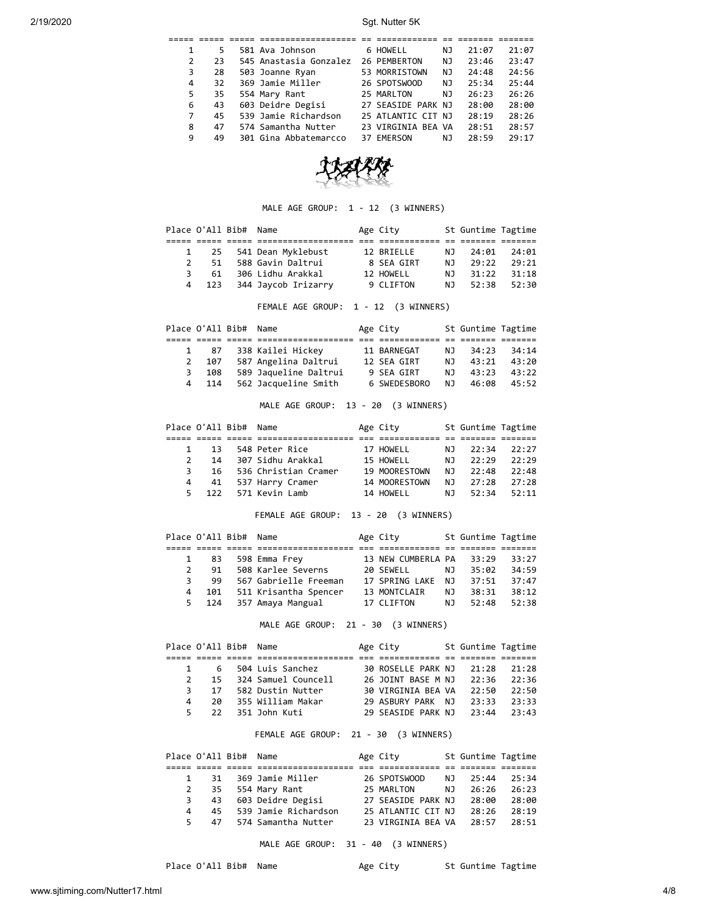|    | 5  | 581 Ava Johnson        | 6 HOWELL           | NJ  | 21:07 | 21:07 |  |
|----|----|------------------------|--------------------|-----|-------|-------|--|
| 2  | 23 | 545 Anastasia Gonzalez | 26 PEMBERTON       | NJ. | 23:46 | 23:47 |  |
| 3  | 28 | 503 Joanne Ryan        | 53 MORRISTOWN      | NJ. | 24:48 | 24:56 |  |
| 4  | 32 | 369 Jamie Miller       | 26 SPOTSWOOD       | NJ. | 25:34 | 25:44 |  |
| 5. | 35 | 554 Mary Rant          | 25 MARLTON         | NJ. | 26:23 | 26:26 |  |
| 6  | 43 | 603 Deidre Degisi      | 27 SEASIDE PARK NJ |     | 28:00 | 28:00 |  |
| 7  | 45 | 539 Jamie Richardson   | 25 ATLANTIC CIT NJ |     | 28:19 | 28:26 |  |
| 8  | 47 | 574 Samantha Nutter    | 23 VIRGINIA BEA VA |     | 28:51 | 28:57 |  |
| 9  | 49 | 301 Gina Abbatemarcco  | 37 EMERSON         | NJ  | 28:59 | 79:17 |  |



MALE AGE GROUP: 1 - 12 (3 WINNERS)

|   | Place O'All Bib# Name |                           | Age City   |     | St Guntime Tagtime |       |
|---|-----------------------|---------------------------|------------|-----|--------------------|-------|
|   |                       |                           |            |     |                    |       |
|   |                       | 1 25 541 Dean Myklebust   | 12 BRTFLLF | N J | 24:01              | 24:01 |
|   |                       | 2 51 588 Gavin Daltrui    | 8 SEA GIRT | N J | 29:22              | 29:21 |
| 3 |                       | 61 - 306 Lidhu Arakkal    | 12 HOWELL  | NJ. | 31:22              | 31:18 |
|   |                       | 4 123 344 Jaycob Irizarry | 9 CLIFTON  | N J | 52:38              | 52:30 |

FEMALE AGE GROUP: 1 - 12 (3 WINNERS)

|   | Place O'All Bib# Name |                       | Age City     |     | St Guntime Tagtime |       |  |
|---|-----------------------|-----------------------|--------------|-----|--------------------|-------|--|
|   |                       |                       |              |     |                    |       |  |
|   | 1 87                  | 338 Kailei Hickey     | 11 BARNEGAT  | N J | 34:23              | 34:14 |  |
|   | 2 107                 | 587 Angelina Daltrui  | 12 SEA GIRT  | NJ. | 43:21              | 43:20 |  |
| 3 | 108                   | 589 Jaqueline Daltrui | 9 SEA GIRT   | N J | 43:23              | 43:22 |  |
|   | 4 114                 | 562 Jacqueline Smith  | 6 SWEDESBORO | N J | 46:08              | 45:52 |  |

MALE AGE GROUP: 13 - 20 (3 WINNERS)

|               | Place O'All Bib# Name |                         | Age City      |     | St Guntime Tagtime |       |  |
|---------------|-----------------------|-------------------------|---------------|-----|--------------------|-------|--|
|               |                       |                         |               |     |                    |       |  |
|               | $\mathbf{1}$          | 13 548 Peter Rice       | 17 HOWELL     | NJ. | 22:34              | 22:27 |  |
| $\mathcal{P}$ | 14                    | 307 Sidhu Arakkal       | 15 HOWELL     | NJ. | 22:29              | 22:29 |  |
| 3             |                       | 16 536 Christian Cramer | 19 MOORESTOWN | N J | 22:48              | 22:48 |  |
|               |                       | 4 41 537 Harry Cramer   | 14 MOORESTOWN | N J | 27:28              | 27:28 |  |
|               |                       | 5 122 571 Kevin Lamb    | 14 HOWELL     | NJ. | 52:34              | 52:11 |  |

FEMALE AGE GROUP: 13 - 20 (3 WINNERS)

|               | Place O'All Bib# Name |                       | Age City           |     | St Guntime Tagtime |       |  |
|---------------|-----------------------|-----------------------|--------------------|-----|--------------------|-------|--|
|               |                       |                       |                    |     |                    |       |  |
|               | 1 83                  | 598 Emma Frey         | 13 NEW CUMBERLA PA |     | 33:29              | 33:27 |  |
| $\mathcal{P}$ | 91                    | 508 Karlee Severns    | 20 SEWELL          | NJ. | 35:02              | 34:59 |  |
| 3             | 99                    | 567 Gabrielle Freeman | 17 SPRING LAKE     | N J | 37:51              | 37:47 |  |
| 4             | 101                   | 511 Krisantha Spencer | 13 MONTCLAIR       | NJ. | 38:31              | 38:12 |  |
|               | 5 124                 | 357 Amaya Mangual     | 17 CLIFTON         | NJ. | 52:48              | 52:38 |  |

MALE AGE GROUP: 21 - 30 (3 WINNERS)

|               | Place O'All Bib# Name |                        | Age City                 | St Guntime Tagtime |       |  |
|---------------|-----------------------|------------------------|--------------------------|--------------------|-------|--|
|               |                       |                        |                          |                    |       |  |
|               |                       | 1 6 504 Luis Sanchez   | 30 ROSELLE PARK NJ 21:28 |                    | 21:28 |  |
| $\mathcal{P}$ |                       | 15 324 Samuel Councell | 26 JOINT BASE M NJ 22:36 |                    | 22:36 |  |
| 3             |                       | 17 582 Dustin Nutter   | 30 VIRGINIA BEA VA       | 22:50              | 22:50 |  |
| 4             |                       | 20 355 William Makar   | 29 ASBURY PARK NJ        | 23:33              | 23:33 |  |
|               |                       | 22 351 John Kuti       | 29 SEASIDE PARK NJ 23:44 |                    | 23:43 |  |

FEMALE AGE GROUP: 21 - 30 (3 WINNERS)

|                | Place O'All Bib# Name |                         | Age City           |     | St Guntime Tagtime |       |
|----------------|-----------------------|-------------------------|--------------------|-----|--------------------|-------|
|                |                       |                         |                    |     |                    |       |
| 1              | 31                    | 369 Jamie Miller        | 26 SPOTSWOOD       | NJ  | 25:44              | 25:34 |
| 2              |                       | 35 554 Mary Rant        | 25 MARLTON         | NJ. | 26:26              | 26:23 |
| 3              |                       | 43 603 Deidre Degisi    | 27 SEASIDE PARK NJ |     | 28:00              | 28:00 |
| $\overline{a}$ |                       | 45 539 Jamie Richardson | 25 ATLANTIC CIT NJ |     | 28:26              | 28:19 |
| 5.             |                       | 47 574 Samantha Nutter  | 23 VIRGINIA BEA VA |     | 28:57              | 28:51 |

MALE AGE GROUP: 31 - 40 (3 WINNERS)

Place O'All Bib# Name Age City St Guntime Tagtime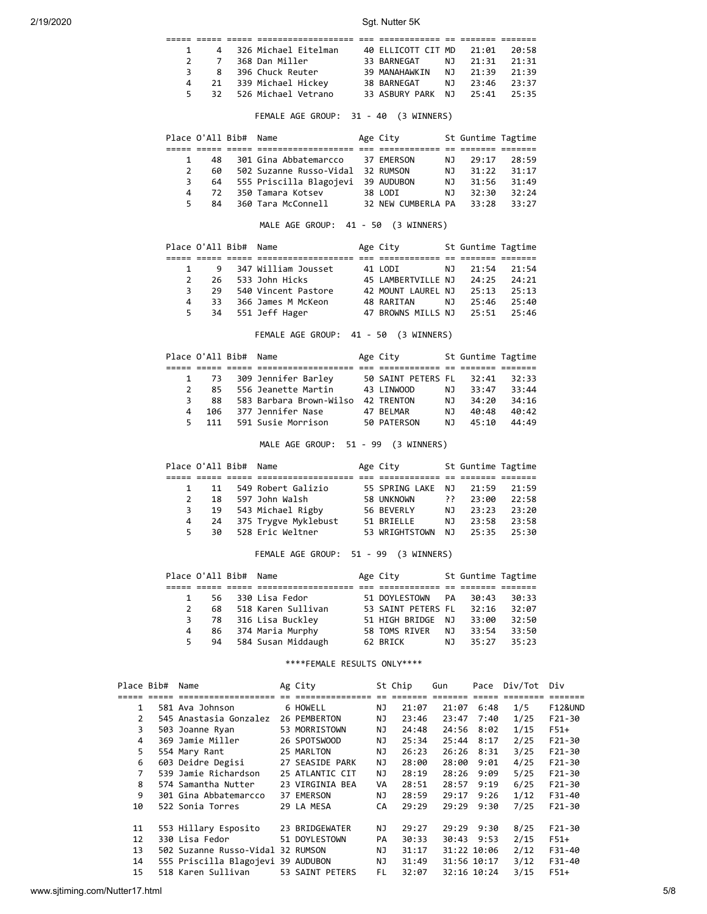|                |                                                       |                       | sooo oodo oodo oodoodoodoodoodoo oo aadaadadaa oo caadaa aadaad                        |                             |     |                                  |       |
|----------------|-------------------------------------------------------|-----------------------|----------------------------------------------------------------------------------------|-----------------------------|-----|----------------------------------|-------|
| $\mathbf{1}$   | $\overline{4}$                                        |                       | 326 Michael Eitelman 40 ELLICOTT CIT MD                                                |                             |     | 21:01                            | 20:58 |
| $\overline{2}$ | $\overline{7}$                                        |                       |                                                                                        |                             | NJ  | 21:31                            | 21:31 |
| 3              |                                                       |                       |                                                                                        |                             |     |                                  |       |
| 4              |                                                       |                       |                                                                                        |                             |     | NJ 21:39 21:39<br>NJ 23:46 23:37 |       |
| 5              | 32                                                    |                       | 526 Michael Vetrano 33 ASBURY PARK NJ 25:41                                            |                             |     |                                  | 25:35 |
|                |                                                       |                       |                                                                                        |                             |     |                                  |       |
|                |                                                       |                       | FEMALE AGE GROUP: 31 - 40 (3 WINNERS)                                                  |                             |     |                                  |       |
|                | Place O'All Bib#                                      |                       | Name                                                                                   | Age City                    |     | St Guntime Tagtime               |       |
|                |                                                       |                       |                                                                                        |                             |     |                                  |       |
| 1              | 48                                                    |                       | 301 Gina Abbatemarcco 37 EMERSON                                                       |                             | NJ. | 29:17                            | 28:59 |
| $\overline{2}$ | 60                                                    |                       | 502 Suzanne Russo-Vidal 32 RUMSON                                                      |                             |     | NJ 31:22                         | 31:17 |
| 3              |                                                       |                       | 64 555 Priscilla Blagojevi 39 AUDUBON                                                  |                             |     | NJ 31:56 31:49                   |       |
|                | $4\overline{ }$<br>72                                 |                       | 350 Tamara Kotsev 38 LODI                                                              |                             |     | NJ 32:30                         | 32:24 |
| 5              | 84                                                    |                       | 360 Tara McConnell 32 NEW CUMBERLA PA 33:28                                            |                             |     |                                  | 33:27 |
|                |                                                       |                       | MALE AGE GROUP: 41 - 50 (3 WINNERS)                                                    |                             |     |                                  |       |
|                |                                                       | Place O'All Bib#      | Name                                                                                   | Age City 5t Guntime Tagtime |     |                                  |       |
|                |                                                       |                       |                                                                                        |                             |     |                                  |       |
|                | 1 9                                                   |                       | 347 William Jousset 41 LODI                                                            | 45 LAMBERTVILLE NJ 24:25    | NJ  | 21:54                            | 21:54 |
| $\overline{2}$ |                                                       |                       | 26 533 John Hicks                                                                      |                             |     |                                  | 24:21 |
|                | $\begin{array}{ccc} 3 & & 29 \\ 4 & & 33 \end{array}$ |                       | 540 Vincent Pastore 42 MOUNT LAUREL NJ 25:13<br>366 James M McKeon 48 RARITAN NJ 25:46 |                             |     |                                  | 25:13 |
| $\overline{4}$ | 33                                                    |                       |                                                                                        | 47 BROWNS MILLS NJ 25:51    |     |                                  | 25:40 |
| 5              | 34                                                    |                       | 551 Jeff Hager                                                                         |                             |     |                                  | 25:46 |
|                |                                                       |                       | FEMALE AGE GROUP: 41 - 50 (3 WINNERS)                                                  |                             |     |                                  |       |
|                |                                                       | Place O'All Bib# Name |                                                                                        | Age City 5t Guntime Tagtime |     |                                  |       |
| 1              |                                                       |                       | 73 309 Jennifer Barley 50 SAINT PETERS FL 32:41                                        |                             |     |                                  | 32:33 |
|                |                                                       |                       |                                                                                        |                             |     |                                  |       |
|                |                                                       |                       | 2 85 556 Jeanette Martin 43 LINWOOD<br>3 88 583 Barbara Brown-Wilso 42 TRENTON         |                             |     | NJ 33:47 33:44<br>NJ 34:20 34:16 |       |
|                | $\overline{4}$                                        |                       | 106 377 Jennifer Nase 47 BELMAR                                                        |                             |     | NJ 40:48 40:42                   |       |
| 5.             | 111                                                   |                       | 591 Susie Morrison 50 PATERSON NJ 45:10                                                |                             |     |                                  | 44:49 |
|                |                                                       |                       |                                                                                        |                             |     |                                  |       |
|                |                                                       |                       | MALE AGE GROUP: 51 - 99 (3 WINNERS)                                                    |                             |     |                                  |       |
|                |                                                       | Place O'All Bib#      | Name                                                                                   | Age City                    |     | St Guntime Tagtime               |       |
|                |                                                       |                       |                                                                                        |                             |     |                                  |       |
| 1              | 11                                                    |                       | 549 Robert Galizio 55 SPRING LAKE<br>597 John Walsh 58 UNKNOWN                         |                             |     | NJ 21:59<br>?? 23:00             | 21:59 |
| $\overline{2}$ | 18                                                    |                       |                                                                                        |                             |     |                                  | 22:58 |
| 3              | 19                                                    |                       | 543 Michael Rigby 56 BEVERLY                                                           |                             |     | NJ 23:23                         | 23:20 |
| 4              | 24                                                    |                       | 375 Trygve Myklebust                                                                   | 51 BRIELLE                  | NJ. | 23:58                            | 23:58 |

 5 30 528 Eric Weltner 53 WRIGHTSTOWN NJ 25:35 25:30 FEMALE AGE GROUP: 51 - 99 (3 WINNERS)

|               | Place O'All Bib# Name |                     | Age City           |     | St Guntime Tagtime |       |
|---------------|-----------------------|---------------------|--------------------|-----|--------------------|-------|
|               |                       |                     |                    |     |                    |       |
| $\mathbf{1}$  | 56 -                  | 330 Lisa Fedor      | 51 DOYLESTOWN      | PA  | 30:43              | 30:33 |
| $\mathcal{P}$ | 68                    | 518 Karen Sullivan  | 53 SAINT PETERS FL |     | 32:16              | 32:07 |
|               | 3                     | 78 316 Lisa Buckley | 51 HIGH BRIDGE     | NJ. | 33:00              | 32:50 |
| 4             |                       | 86 374 Maria Murphy | 58 TOMS RIVER      | NJ  | 33:54              | 33:50 |
| 5.            | 94                    | 584 Susan Middaugh  | 62 BRICK           | NJ. | 35:27              | 35:23 |

\*\*\*\*FEMALE RESULTS ONLY\*\*\*\*

| Place Bib#     | Name                    | Ag City         |           | St Chip | Gun   | Pace        | Div/Tot | Div                |
|----------------|-------------------------|-----------------|-----------|---------|-------|-------------|---------|--------------------|
|                |                         |                 |           |         |       |             |         |                    |
| 1              | 581 Ava Johnson         | 6 HOWELL        | NJ        | 21:07   | 21:07 | 6:48        | 1/5     | <b>F12&amp;UND</b> |
| $\overline{2}$ | 545 Anastasia Gonzalez  | 26 PEMBERTON    | NJ        | 23:46   | 23:47 | 7:40        | 1/25    | $F21-30$           |
| 3              | 503 Joanne Ryan         | 53 MORRISTOWN   | NJ        | 24:48   | 24:56 | 8:02        | 1/15    | $F51+$             |
| 4              | 369 Jamie Miller        | 26 SPOTSWOOD    | NJ        | 25:34   | 25:44 | 8:17        | 2/25    | $F21-30$           |
| 5              | 554 Mary Rant           | 25 MARLTON      | NJ        | 26:23   | 26:26 | 8:31        | 3/25    | $F21-30$           |
| 6              | 603 Deidre Degisi       | 27 SEASIDE PARK | NJ        | 28:00   | 28:00 | 9:01        | 4/25    | $F21-30$           |
| 7              | 539 Jamie Richardson    | 25 ATLANTIC CIT | NJ        | 28:19   | 28:26 | 9:09        | 5/25    | $F21-30$           |
| 8              | 574 Samantha Nutter     | 23 VIRGINIA BEA | VA        | 28:51   | 28:57 | 9:19        | 6/25    | $F21-30$           |
| 9              | 301 Gina Abbatemarcco   | 37 EMERSON      | NJ        | 28:59   | 29:17 | 9:26        | 1/12    | F31-40             |
| 10             | 522 Sonia Torres        | 29 LA MESA      | CA        | 29:29   | 29:29 | 9:30        | 7/25    | $F21-30$           |
|                |                         |                 |           |         |       |             |         |                    |
| 11             | 553 Hillary Esposito    | 23 BRIDGEWATER  | ΝJ        | 29:27   | 29:29 | 9:30        | 8/25    | $F21-30$           |
| 12             | 330 Lisa Fedor          | 51 DOYLESTOWN   | <b>PA</b> | 30:33   | 30:43 | 9:53        | 2/15    | $F51+$             |
| 13             | 502 Suzanne Russo-Vidal | 32 RUMSON       | NJ        | 31:17   |       | 31:22 10:06 | 2/12    | F31-40             |
| 14             | 555 Priscilla Blagojevi | 39 AUDUBON      | NJ        | 31:49   |       | 31:56 10:17 | 3/12    | F31-40             |
| 15             | 518 Karen Sullivan      | 53 SAINT PETERS | FL.       | 32:07   |       | 32:16 10:24 | 3/15    | $F51+$             |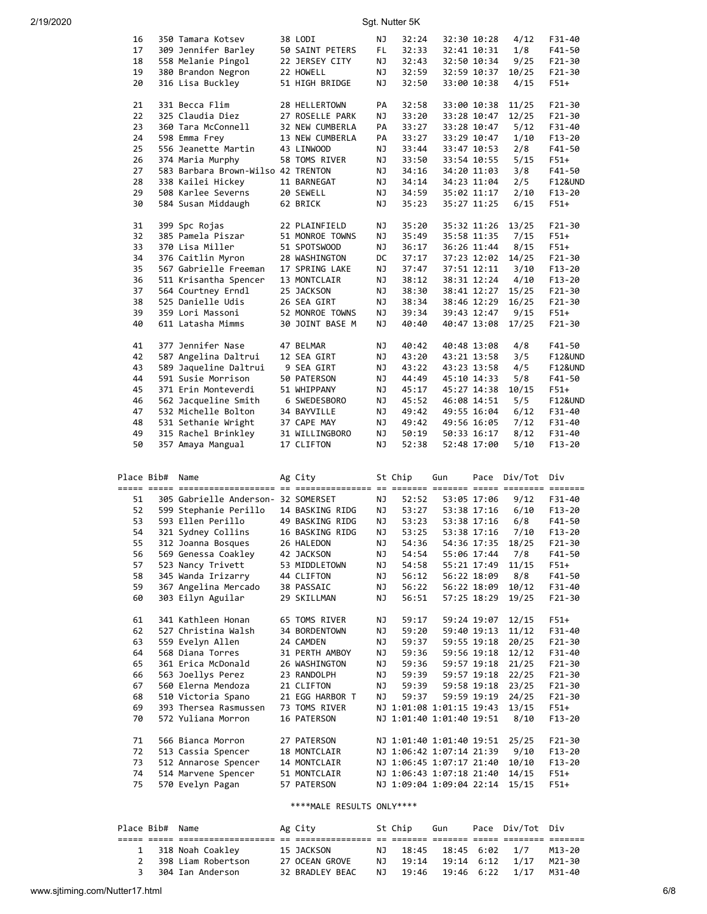| 2/19/2020 |                 |                                             |                              |     | Sgt. Nutter 5K                                       |     |             |                  |                    |
|-----------|-----------------|---------------------------------------------|------------------------------|-----|------------------------------------------------------|-----|-------------|------------------|--------------------|
|           | 16              | 350 Tamara Kotsev                           | 38 LODI                      | ΝJ  | 32:24                                                |     | 32:30 10:28 | 4/12             | F31-40             |
|           | 17              | 309 Jennifer Barley                         | 50 SAINT PETERS              | FL. | 32:33                                                |     | 32:41 10:31 | 1/8              | F41-50             |
|           | 18              | 558 Melanie Pingol                          | 22 JERSEY CITY               | ΝJ  | 32:43                                                |     | 32:50 10:34 | 9/25             | F21-30             |
|           | 19              | 380 Brandon Negron                          | 22 HOWELL                    | ΝJ  | 32:59                                                |     | 32:59 10:37 | 10/25            | F21-30             |
|           | 20              | 316 Lisa Buckley                            | 51 HIGH BRIDGE               | ΝJ  | 32:50                                                |     | 33:00 10:38 | 4/15             | $F51+$             |
|           | 21              | 331 Becca Flim                              | 28 HELLERTOWN                | PA  | 32:58                                                |     | 33:00 10:38 | 11/25            | F21-30             |
|           | 22              | 325 Claudia Diez                            | 27 ROSELLE PARK              | ΝJ  | 33:20                                                |     | 33:28 10:47 | 12/25            | $F21-30$           |
|           | 23              | 360 Tara McConnell                          | 32 NEW CUMBERLA              | PA  | 33:27                                                |     | 33:28 10:47 | 5/12             | F31-40             |
|           | 24              | 598 Emma Frey                               | 13 NEW CUMBERLA              | PA  | 33:27                                                |     | 33:29 10:47 | 1/10             | F13-20             |
|           | 25              | 556 Jeanette Martin                         | 43 LINWOOD                   | ΝJ  | 33:44                                                |     | 33:47 10:53 | 2/8              | F41-50             |
|           | 26              | 374 Maria Murphy                            | 58 TOMS RIVER                | ΝJ  | 33:50                                                |     | 33:54 10:55 | 5/15             | $F51+$             |
|           | 27              | 583 Barbara Brown-Wilso 42 TRENTON          |                              | ΝJ  | 34:16                                                |     | 34:20 11:03 | 3/8              | F41-50             |
|           | 28              | 338 Kailei Hickey                           | 11 BARNEGAT                  | ΝJ  | 34:14                                                |     | 34:23 11:04 | 2/5              | F12&UND            |
|           | 29              | 508 Karlee Severns                          | 20 SEWELL                    | ΝJ  | 34:59                                                |     | 35:02 11:17 | 2/10             | $F13-20$           |
|           | 30              | 584 Susan Middaugh                          | 62 BRICK                     | ΝJ  | 35:23                                                |     | 35:27 11:25 | 6/15             | F51+               |
|           | 31              | 399 Spc Rojas                               | 22 PLAINFIELD                | ΝJ  | 35:20                                                |     | 35:32 11:26 | 13/25            | F21-30             |
|           | 32              | 385 Pamela Piszar                           | 51 MONROE TOWNS              | ΝJ  | 35:49                                                |     | 35:58 11:35 | 7/15             | $F51+$             |
|           | 33              | 370 Lisa Miller                             | 51 SPOTSWOOD                 | ΝJ  | 36:17                                                |     | 36:26 11:44 | 8/15             | $F51+$             |
|           | 34              | 376 Caitlin Myron                           | 28 WASHINGTON                | DC  | 37:17                                                |     | 37:23 12:02 | 14/25            | F21-30             |
|           | 35              | 567 Gabrielle Freeman                       | 17 SPRING LAKE               | ΝJ  | 37:47                                                |     | 37:51 12:11 | 3/10             | F13-20             |
|           | 36              | 511 Krisantha Spencer                       | 13 MONTCLAIR                 | ΝJ  | 38:12                                                |     | 38:31 12:24 | 4/10             | $F13 - 20$         |
|           | 37              | 564 Courtney Erndl                          | 25 JACKSON                   | ΝJ  | 38:30                                                |     | 38:41 12:27 | 15/25            | F21-30             |
|           | 38              | 525 Danielle Udis                           | 26 SEA GIRT                  | ΝJ  | 38:34                                                |     | 38:46 12:29 | 16/25            | F21-30             |
|           | 39              | 359 Lori Massoni                            | 52 MONROE TOWNS              | ΝJ  | 39:34                                                |     | 39:43 12:47 | 9/15             | $F51+$             |
|           | 40              | 611 Latasha Mimms                           | 30 JOINT BASE M              | ΝJ  | 40:40                                                |     | 40:47 13:08 | 17/25            | F21-30             |
|           | 41              | 377 Jennifer Nase                           | 47 BELMAR                    | ΝJ  | 40:42                                                |     | 40:48 13:08 | 4/8              | F41-50             |
|           | 42              | 587 Angelina Daltrui                        | 12 SEA GIRT                  | ΝJ  | 43:20                                                |     | 43:21 13:58 | 3/5              | F12&UND            |
|           | 43              | 589 Jaqueline Daltrui                       | 9 SEA GIRT                   | ΝJ  | 43:22                                                |     | 43:23 13:58 | 4/5              | F12&UND            |
|           | 44              | 591 Susie Morrison                          | 50 PATERSON                  | ΝJ  | 44:49                                                |     | 45:10 14:33 | 5/8              | F41-50             |
|           | 45              | 371 Erin Monteverdi                         | 51 WHIPPANY                  | ΝJ  | 45:17                                                |     | 45:27 14:38 | 10/15            | $F51+$             |
|           | 46              | 562 Jacqueline Smith                        | 6 SWEDESBORO                 | ΝJ  | 45:52                                                |     | 46:08 14:51 | 5/5              | F12&UND            |
|           | 47              | 532 Michelle Bolton                         | 34 BAYVILLE                  | ΝJ  | 49:42                                                |     | 49:55 16:04 | 6/12             | F31-40             |
|           | 48              | 531 Sethanie Wright                         | 37 CAPE MAY                  | ΝJ  | 49:42                                                |     | 49:56 16:05 | 7/12             | F31-40             |
|           | 49              | 315 Rachel Brinkley                         | 31 WILLINGBORO               | ΝJ  | 50:19                                                |     | 50:33 16:17 | 8/12             | F31-40             |
|           | 50              | 357 Amaya Mangual                           | 17 CLIFTON                   | ΝJ  | 52:38                                                |     | 52:48 17:00 | 5/10             | F13-20             |
|           |                 |                                             |                              |     |                                                      |     |             |                  |                    |
|           | Place Bib# Name |                                             | Ag City                      |     | St Chip                                              | Gun |             | Pace Div/Tot Div |                    |
|           |                 |                                             |                              |     |                                                      |     |             |                  |                    |
|           | 51              | 305 Gabrielle Anderson- 32 SOMERSET         |                              | ΝJ  | 52:52                                                |     | 53:05 17:06 | 9/12             | F31-40             |
|           | 52              | 599 Stephanie Perillo                       | 14 BASKING RIDG              | ΝJ  | 53:27                                                |     | 53:38 17:16 | 6/10             | $F13 - 20$         |
|           | 53              | 593 Ellen Perillo                           | 49 BASKING RIDG              | ΝJ  | 53:23                                                |     | 53:38 17:16 | 6/8              | F41-50             |
|           | 54              | 321 Sydney Collins                          | 16 BASKING RIDG              | NJ  | 53:25                                                |     | 53:38 17:16 | 7/10             | F13-20             |
|           | 55              | 312 Joanna Bosques                          | 26 HALEDON                   | ΝJ  | 54:36                                                |     | 54:36 17:35 | 18/25            | F21-30             |
|           | 56              | 569 Genessa Coakley                         | 42 JACKSON                   | ΝJ  | 54:54                                                |     | 55:06 17:44 | 7/8              | F41-50             |
|           | 57              | 523 Nancy Trivett                           | 53 MIDDLETOWN                | ΝJ  | 54:58                                                |     | 55:21 17:49 | 11/15            | F51+               |
|           | 58              | 345 Wanda Irizarry                          | 44 CLIFTON                   | ΝJ  | 56:12                                                |     | 56:22 18:09 | 8/8              | F41-50             |
|           | 59              | 367 Angelina Mercado                        | 38 PASSAIC                   | ΝJ  | 56:22                                                |     | 56:22 18:09 | 10/12            | F31-40             |
|           | 60              | 303 Eilyn Aguilar                           | 29 SKILLMAN                  | ΝJ  | 56:51                                                |     | 57:25 18:29 | 19/25            | F21-30             |
|           | 61              | 341 Kathleen Honan                          | 65 TOMS RIVER                | ΝJ  | 59:17                                                |     | 59:24 19:07 | 12/15            | F51+               |
|           | 62              | 527 Christina Walsh                         | 34 BORDENTOWN                | ΝJ  | 59:20                                                |     | 59:40 19:13 | 11/12            | F31-40             |
|           | 63              | 559 Evelyn Allen                            | 24 CAMDEN                    | ΝJ  | 59:37                                                |     | 59:55 19:18 | 20/25            | F21-30             |
|           | 64              | 568 Diana Torres                            | 31 PERTH AMBOY               | ΝJ  | 59:36                                                |     | 59:56 19:18 | 12/12            | F31-40             |
|           | 65              | 361 Erica McDonald                          | 26 WASHINGTON                | ΝJ  | 59:36                                                |     | 59:57 19:18 | 21/25            | F21-30             |
|           | 66              | 563 Joellys Perez                           | 23 RANDOLPH                  | ΝJ  | 59:39                                                |     | 59:57 19:18 | 22/25            | F21-30             |
|           | 67              | 560 Elerna Mendoza                          | 21 CLIFTON                   | ΝJ  | 59:39                                                |     | 59:58 19:18 | 23/25            | F21-30             |
|           | 68              | 510 Victoria Spano                          | 21 EGG HARBOR T              | ΝJ  | 59:37                                                |     | 59:59 19:19 | 24/25            | F21-30             |
|           | 69<br>70        | 393 Thersea Rasmussen<br>572 Yuliana Morron | 73 TOMS RIVER<br>16 PATERSON |     | NJ 1:01:08 1:01:15 19:43<br>NJ 1:01:40 1:01:40 19:51 |     |             | 13/15<br>8/10    | F51+<br>$F13 - 20$ |
|           |                 |                                             |                              |     |                                                      |     |             |                  |                    |
|           | 71<br>72        | 566 Bianca Morron<br>513 Cassia Spencer     | 27 PATERSON<br>18 MONTCLAIR  |     | NJ 1:01:40 1:01:40 19:51<br>NJ 1:06:42 1:07:14 21:39 |     |             | 25/25<br>9/10    | F21-30<br>F13-20   |
|           | 73              | 512 Annarose Spencer                        | 14 MONTCLAIR                 |     | NJ 1:06:45 1:07:17 21:40                             |     |             | 10/10            | F13-20             |
|           | 74              | 514 Marvene Spencer                         | 51 MONTCLAIR                 |     | NJ 1:06:43 1:07:18 21:40                             |     |             | 14/15            | $F51+$             |
|           | 75              | 570 Evelyn Pagan                            | 57 PATERSON                  |     | NJ 1:09:04 1:09:04 22:14 15/15                       |     |             |                  | F51+               |
|           |                 |                                             |                              |     |                                                      |     |             |                  |                    |
|           |                 |                                             | ****MALE RESULTS ONLY****    |     |                                                      |     |             |                  |                    |

|  | Place Bib# Name |                      | Ag City         |      | St Chip Gun              |                      | Pace Div/Tot Div |        |
|--|-----------------|----------------------|-----------------|------|--------------------------|----------------------|------------------|--------|
|  |                 |                      |                 |      |                          |                      |                  |        |
|  |                 | 1 318 Noah Coakley   | 15 JACKSON      | NJ 1 |                          | 18:45 18:45 6:02 1/7 |                  | M13-20 |
|  |                 | 2 398 Liam Robertson | 27 OCEAN GROVE  |      | NJ 19:14 19:14 6:12 1/17 |                      |                  | M21-30 |
|  |                 | 3 304 Ian Anderson   | 32 BRADLEY BEAC |      | NJ 19:46 19:46 6:22 1/17 |                      |                  | M31-40 |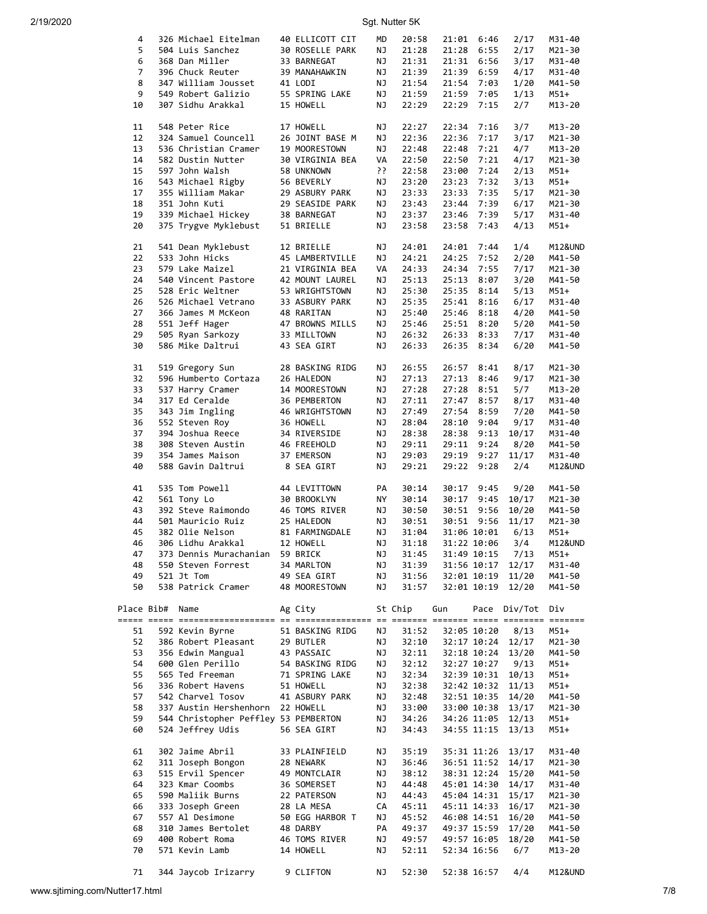| 4  |            |                                      |                        |     |         |       |             |              |         |
|----|------------|--------------------------------------|------------------------|-----|---------|-------|-------------|--------------|---------|
|    |            | 326 Michael Eitelman                 | 40 ELLICOTT CIT        | МD  | 20:58   | 21:01 | 6:46        | 2/17         | M31-40  |
|    |            |                                      | <b>30 ROSELLE PARK</b> |     |         |       |             |              |         |
| 5  |            | 504 Luis Sanchez                     |                        | ΝJ  | 21:28   | 21:28 | 6:55        | 2/17         | M21-30  |
| 6  |            | 368 Dan Miller                       | 33 BARNEGAT            | ΝJ  | 21:31   | 21:31 | 6:56        | 3/17         | M31-40  |
| 7  |            | 396 Chuck Reuter                     | 39 MANAHAWKIN          | ΝJ  | 21:39   | 21:39 | 6:59        | 4/17         | M31-40  |
|    |            |                                      |                        |     |         |       |             |              |         |
| 8  |            | 347 William Jousset                  | 41 LODI                | ΝJ  | 21:54   | 21:54 | 7:03        | 1/20         | M41-50  |
| 9  |            | 549 Robert Galizio                   | 55 SPRING LAKE         | ΝJ  | 21:59   | 21:59 | 7:05        | 1/13         | $M51+$  |
|    |            |                                      |                        |     |         |       |             |              |         |
| 10 |            | 307 Sidhu Arakkal                    | 15 HOWELL              | ΝJ  | 22:29   | 22:29 | 7:15        | 2/7          | M13-20  |
|    |            |                                      |                        |     |         |       |             |              |         |
|    |            |                                      |                        |     |         |       |             |              |         |
| 11 |            | 548 Peter Rice                       | 17 HOWELL              | ΝJ  | 22:27   | 22:34 | 7:16        | 3/7          | M13-20  |
| 12 |            | 324 Samuel Councell                  | 26 JOINT BASE M        | ΝJ  | 22:36   | 22:36 | 7:17        | 3/17         | M21-30  |
| 13 |            | 536 Christian Cramer                 | 19 MOORESTOWN          | ΝJ  | 22:48   | 22:48 | 7:21        | 4/7          | M13-20  |
|    |            |                                      |                        |     |         |       |             |              |         |
| 14 |            | 582 Dustin Nutter                    | 30 VIRGINIA BEA        | VA  | 22:50   | 22:50 | 7:21        | 4/17         | M21-30  |
| 15 |            | 597 John Walsh                       | 58 UNKNOWN             | יִי | 22:58   | 23:00 | 7:24        | 2/13         | $M51+$  |
|    |            |                                      |                        |     |         |       |             |              |         |
| 16 |            | 543 Michael Rigby                    | 56 BEVERLY             | ΝJ  | 23:20   | 23:23 | 7:32        | 3/13         | M51+    |
| 17 |            | 355 William Makar                    | 29 ASBURY PARK         | ΝJ  | 23:33   | 23:33 | 7:35        | 5/17         | M21-30  |
|    |            |                                      |                        |     |         |       |             |              |         |
| 18 |            | 351 John Kuti                        | 29 SEASIDE PARK        | ΝJ  | 23:43   | 23:44 | 7:39        | 6/17         | M21-30  |
| 19 |            | 339 Michael Hickey                   | 38 BARNEGAT            | ΝJ  | 23:37   | 23:46 | 7:39        | 5/17         | M31-40  |
| 20 |            | 375 Trygve Myklebust                 | 51 BRIELLE             | ΝJ  | 23:58   | 23:58 | 7:43        | 4/13         | M51+    |
|    |            |                                      |                        |     |         |       |             |              |         |
|    |            |                                      |                        |     |         |       |             |              |         |
| 21 |            | 541 Dean Myklebust                   | 12 BRIELLE             | ΝJ  | 24:01   | 24:01 | 7:44        | 1/4          | M12&UND |
|    |            |                                      |                        |     |         |       |             |              |         |
| 22 |            | 533 John Hicks                       | 45 LAMBERTVILLE        | ΝJ  | 24:21   | 24:25 | 7:52        | 2/20         | M41-50  |
| 23 |            | 579 Lake Maizel                      | 21 VIRGINIA BEA        | VA  | 24:33   | 24:34 | 7:55        | 7/17         | M21-30  |
|    |            |                                      |                        |     |         |       |             |              |         |
| 24 |            | 540 Vincent Pastore                  | 42 MOUNT LAUREL        | ΝJ  | 25:13   | 25:13 | 8:07        | 3/20         | M41-50  |
| 25 |            | 528 Eric Weltner                     | 53 WRIGHTSTOWN         | ΝJ  | 25:30   | 25:35 | 8:14        | 5/13         | M51+    |
|    |            |                                      |                        |     |         |       |             |              |         |
| 26 |            | 526 Michael Vetrano                  | 33 ASBURY PARK         | ΝJ  | 25:35   | 25:41 | 8:16        | 6/17         | M31-40  |
| 27 |            | 366 James M McKeon                   | 48 RARITAN             | ΝJ  | 25:40   | 25:46 | 8:18        | 4/20         | M41-50  |
|    |            | 551 Jeff Hager                       |                        |     |         |       |             |              |         |
| 28 |            |                                      | 47 BROWNS MILLS        | ΝJ  | 25:46   | 25:51 | 8:20        | 5/20         | M41-50  |
| 29 |            | 505 Ryan Sarkozy                     | 33 MILLTOWN            | ΝJ  | 26:32   | 26:33 | 8:33        | 7/17         | M31-40  |
| 30 |            | 586 Mike Daltrui                     | 43 SEA GIRT            | ΝJ  | 26:33   | 26:35 | 8:34        | 6/20         | M41-50  |
|    |            |                                      |                        |     |         |       |             |              |         |
|    |            |                                      |                        |     |         |       |             |              |         |
| 31 |            | 519 Gregory Sun                      | 28 BASKING RIDG        | ΝJ  | 26:55   | 26:57 | 8:41        | 8/17         | M21-30  |
|    |            |                                      |                        |     |         |       |             |              |         |
| 32 |            | 596 Humberto Cortaza                 | 26 HALEDON             | ΝJ  | 27:13   | 27:13 | 8:46        | 9/17         | M21-30  |
| 33 |            | 537 Harry Cramer                     | 14 MOORESTOWN          | ΝJ  | 27:28   | 27:28 | 8:51        | 5/7          | M13-20  |
|    |            |                                      |                        |     |         |       |             |              |         |
| 34 |            | 317 Ed Ceralde                       | 36 PEMBERTON           | ΝJ  | 27:11   | 27:47 | 8:57        | 8/17         | M31-40  |
| 35 |            | 343 Jim Ingling                      | 46 WRIGHTSTOWN         | ΝJ  | 27:49   | 27:54 | 8:59        | 7/20         | M41-50  |
|    |            |                                      |                        |     |         |       |             |              |         |
| 36 |            | 552 Steven Roy                       | 36 HOWELL              | ΝJ  | 28:04   | 28:10 | 9:04        | 9/17         | M31-40  |
| 37 |            | 394 Joshua Reece                     | 34 RIVERSIDE           | ΝJ  | 28:38   | 28:38 | 9:13        | 10/17        | M31-40  |
|    |            |                                      |                        |     |         |       |             |              |         |
| 38 |            | 308 Steven Austin                    | 46 FREEHOLD            | ΝJ  | 29:11   | 29:11 | 9:24        | 8/20         | M41-50  |
| 39 |            | 354 James Maison                     | 37 EMERSON             | ΝJ  | 29:03   | 29:19 | 9:27        | 11/17        | M31-40  |
|    |            |                                      |                        |     |         |       |             |              |         |
|    |            |                                      |                        |     |         |       |             |              |         |
| 40 |            | 588 Gavin Daltrui                    | 8 SEA GIRT             | ΝJ  | 29:21   | 29:22 | 9:28        | 2/4          | M12&UND |
|    |            |                                      |                        |     |         |       |             |              |         |
|    |            |                                      |                        |     |         |       |             |              |         |
| 41 |            | 535 Tom Powell                       | 44 LEVITTOWN           | PA  | 30:14   | 30:17 | 9:45        | 9/20         | M41-50  |
| 42 |            | 561 Tony Lo                          | 30 BROOKLYN            | ΝY  | 30:14   | 30:17 | 9:45        | 10/17        | M21-30  |
|    |            |                                      |                        |     |         |       |             |              |         |
| 43 |            | 392 Steve Raimondo                   | 46 TOMS RIVER          | ΝJ  | 30:50   | 30:51 | 9:56        | 10/20        | M41-50  |
| 44 |            | 501 Mauricio Ruiz                    | 25 HALEDON             | ΝJ  | 30:51   |       | 30:51 9:56  | 11/17        | M21-30  |
|    |            |                                      |                        |     |         |       |             |              |         |
| 45 |            | 382 Olie Nelson                      | 81 FARMINGDALE         | ΝJ  | 31:04   |       | 31:06 10:01 | 6/13         | $M51+$  |
| 46 |            | 306 Lidhu Arakkal                    | 12 HOWELL              | ΝJ  | 31:18   |       | 31:22 10:06 | 3/4          | M12&UND |
|    |            |                                      |                        |     |         |       |             |              |         |
| 47 |            | 373 Dennis Murachanian               | 59 BRICK               | ΝJ  | 31:45   |       | 31:49 10:15 | 7/13         | M51+    |
| 48 |            | 550 Steven Forrest                   | 34 MARLTON             | ΝJ  | 31:39   |       | 31:56 10:17 | 12/17        | M31-40  |
|    |            |                                      |                        |     |         |       |             |              |         |
| 49 |            | 521 Jt Tom                           | 49 SEA GIRT            | ΝJ  | 31:56   |       | 32:01 10:19 | 11/20        | M41-50  |
| 50 |            | 538 Patrick Cramer                   | 48 MOORESTOWN          | ΝJ  | 31:57   |       | 32:01 10:19 | 12/20        | M41-50  |
|    |            |                                      |                        |     |         |       |             |              |         |
|    |            |                                      |                        |     |         |       |             |              |         |
|    | Place Bib# | Name                                 | Ag City                |     | St Chip | Gun   |             | Pace Div/Tot | Div     |
|    |            |                                      |                        |     |         |       |             |              |         |
| 51 |            | 592 Kevin Byrne                      | 51 BASKING RIDG        | ΝJ  | 31:52   |       | 32:05 10:20 | 8/13         | M51+    |
|    |            |                                      |                        |     |         |       |             |              |         |
| 52 |            | 386 Robert Pleasant                  | 29 BUTLER              | ΝJ  | 32:10   |       | 32:17 10:24 | 12/17        | M21-30  |
| 53 |            | 356 Edwin Mangual                    | 43 PASSAIC             | ΝJ  | 32:11   |       |             | 13/20        |         |
|    |            |                                      |                        |     |         |       | 32:18 10:24 |              | M41-50  |
| 54 |            | 600 Glen Perillo                     | 54 BASKING RIDG        | ΝJ  | 32:12   |       | 32:27 10:27 | 9/13         | M51+    |
| 55 |            | 565 Ted Freeman                      | 71 SPRING LAKE         | ΝJ  | 32:34   |       | 32:39 10:31 | 10/13        | M51+    |
|    |            |                                      |                        |     |         |       |             |              |         |
| 56 |            | 336 Robert Havens                    | 51 HOWELL              | ΝJ  | 32:38   |       | 32:42 10:32 | 11/13        | M51+    |
| 57 |            | 542 Charvel Tosov                    | 41 ASBURY PARK         | ΝJ  | 32:48   |       | 32:51 10:35 | 14/20        | M41-50  |
|    |            |                                      |                        |     |         |       |             |              |         |
| 58 |            | 337 Austin Hershenhorn 22 HOWELL     |                        | ΝJ  | 33:00   |       | 33:00 10:38 | 13/17        | M21-30  |
| 59 |            | 544 Christopher Peffley 53 PEMBERTON |                        | ΝJ  | 34:26   |       | 34:26 11:05 | 12/13        | M51+    |
|    |            |                                      |                        |     |         |       |             |              |         |
| 60 |            | 524 Jeffrey Udis                     | 56 SEA GIRT            | ΝJ  | 34:43   |       | 34:55 11:15 | 13/13        | M51+    |
|    |            |                                      |                        |     |         |       |             |              |         |
|    |            |                                      |                        |     |         |       |             |              |         |
| 61 |            | 302 Jaime Abril                      | 33 PLAINFIELD          | ΝJ  | 35:19   |       | 35:31 11:26 | 13/17        | M31-40  |
| 62 |            | 311 Joseph Bongon                    | 28 NEWARK              | ΝJ  | 36:46   |       | 36:51 11:52 | 14/17        | M21-30  |
|    |            |                                      |                        |     |         |       |             |              |         |
| 63 |            | 515 Ervil Spencer                    | 49 MONTCLAIR           | ΝJ  | 38:12   |       | 38:31 12:24 | 15/20        | M41-50  |
| 64 |            | 323 Kmar Coombs                      | 36 SOMERSET            | ΝJ  | 44:48   |       | 45:01 14:30 | 14/17        | M31-40  |
| 65 |            | 590 Maliik Burns                     | 22 PATERSON            | ΝJ  | 44:43   |       | 45:04 14:31 | 15/17        | M21-30  |
|    |            |                                      |                        |     |         |       |             |              |         |
| 66 |            | 333 Joseph Green                     | 28 LA MESA             | СA  | 45:11   |       | 45:11 14:33 | 16/17        | M21-30  |
| 67 |            | 557 Al Desimone                      | 50 EGG HARBOR T        | ΝJ  | 45:52   |       | 46:08 14:51 | 16/20        | M41-50  |
|    |            |                                      |                        |     |         |       |             |              |         |
| 68 |            | 310 James Bertolet                   | 48 DARBY               | PA  | 49:37   |       | 49:37 15:59 | 17/20        | M41-50  |
| 69 |            | 400 Robert Roma                      | 46 TOMS RIVER          | ΝJ  | 49:57   |       | 49:57 16:05 | 18/20        | M41-50  |
|    |            |                                      |                        |     |         |       |             |              |         |
| 70 |            | 571 Kevin Lamb                       | 14 HOWELL              | ΝJ  | 52:11   |       | 52:34 16:56 | 6/7          | M13-20  |
|    |            | 344 Jaycob Irizarry                  | 9 CLIFTON              |     | 52:30   |       | 52:38 16:57 | 4/4          | M12&UND |